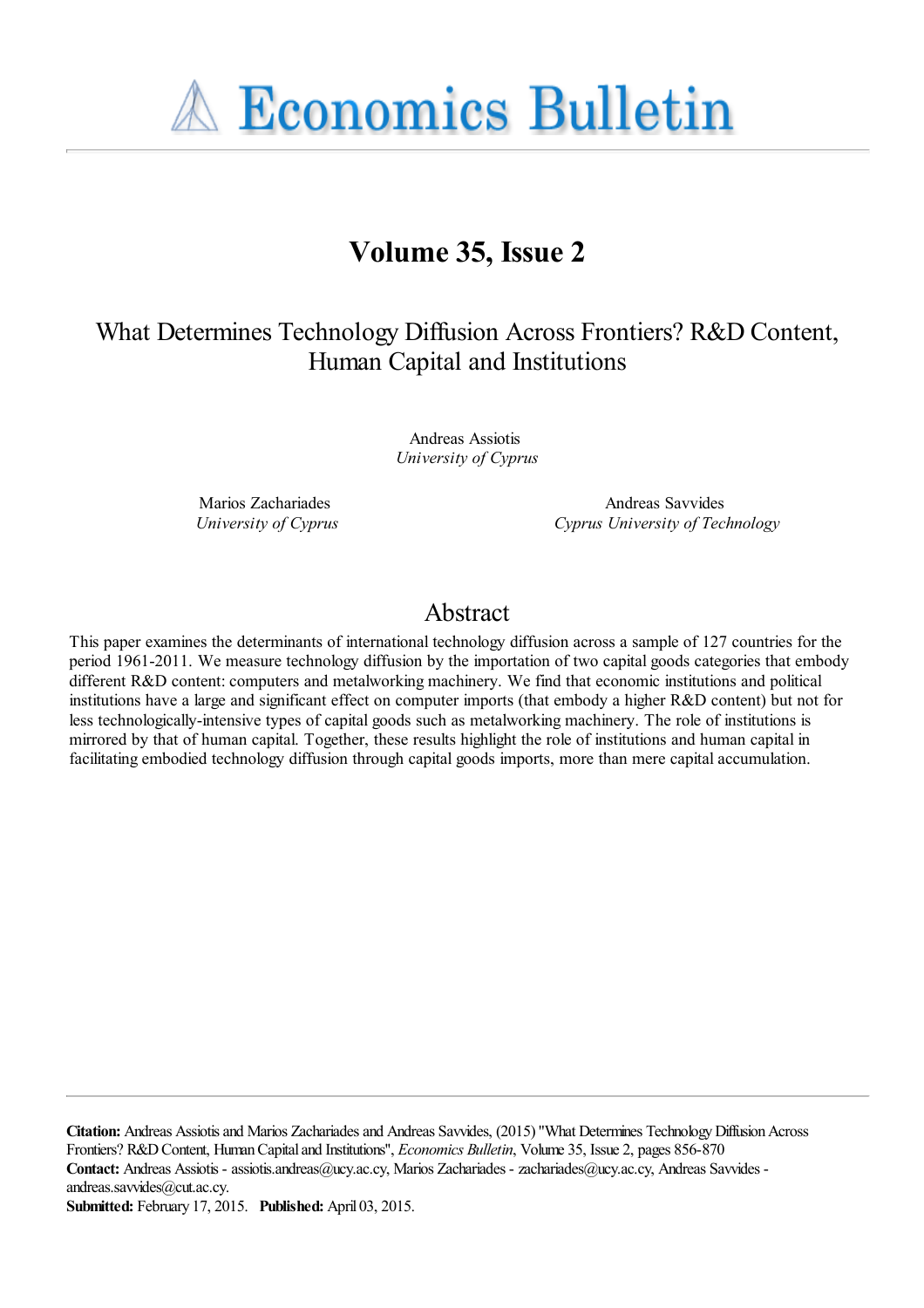**A Economics Bulletin** 

# **Volume 35, Issue 2**

## What Determines Technology Diffusion Across Frontiers? R&D Content, Human Capital and Institutions

Andreas Assiotis *University of Cyprus*

Marios Zachariades *University of Cyprus*

Andreas Savvides *Cyprus University of Technology*

## Abstract

This paper examines the determinants of international technology diffusion across a sample of 127 countries for the period 1961-2011. We measure technology diffusion by the importation of two capital goods categories that embody different R&D content: computers and metalworking machinery. We find that economic institutions and political institutions have a large and significant effect on computer imports (that embody a higher R&D content) but not for less technologically-intensive types of capital goods such as metalworking machinery. The role of institutions is mirrored by that of human capital. Together, these results highlight the role of institutions and human capital in facilitating embodied technology diffusion through capital goods imports, more than mere capital accumulation.

**Citation:** Andreas Assiotis and Marios Zachariades and Andreas Savvides, (2015) ''What Determines Technology Diffusion Across Frontiers? R&D Content, Human Capital and Institutions'', *Economics Bulletin*, Volume 35, Issue 2, pages 856-870 **Contact:** Andreas Assiotis - assiotis.andreas@ucy.ac.cy, Marios Zachariades - zachariades@ucy.ac.cy, Andreas Savvides andreas.savvides@cut.ac.cy. **Submitted:** February 17, 2015. **Published:** April 03, 2015.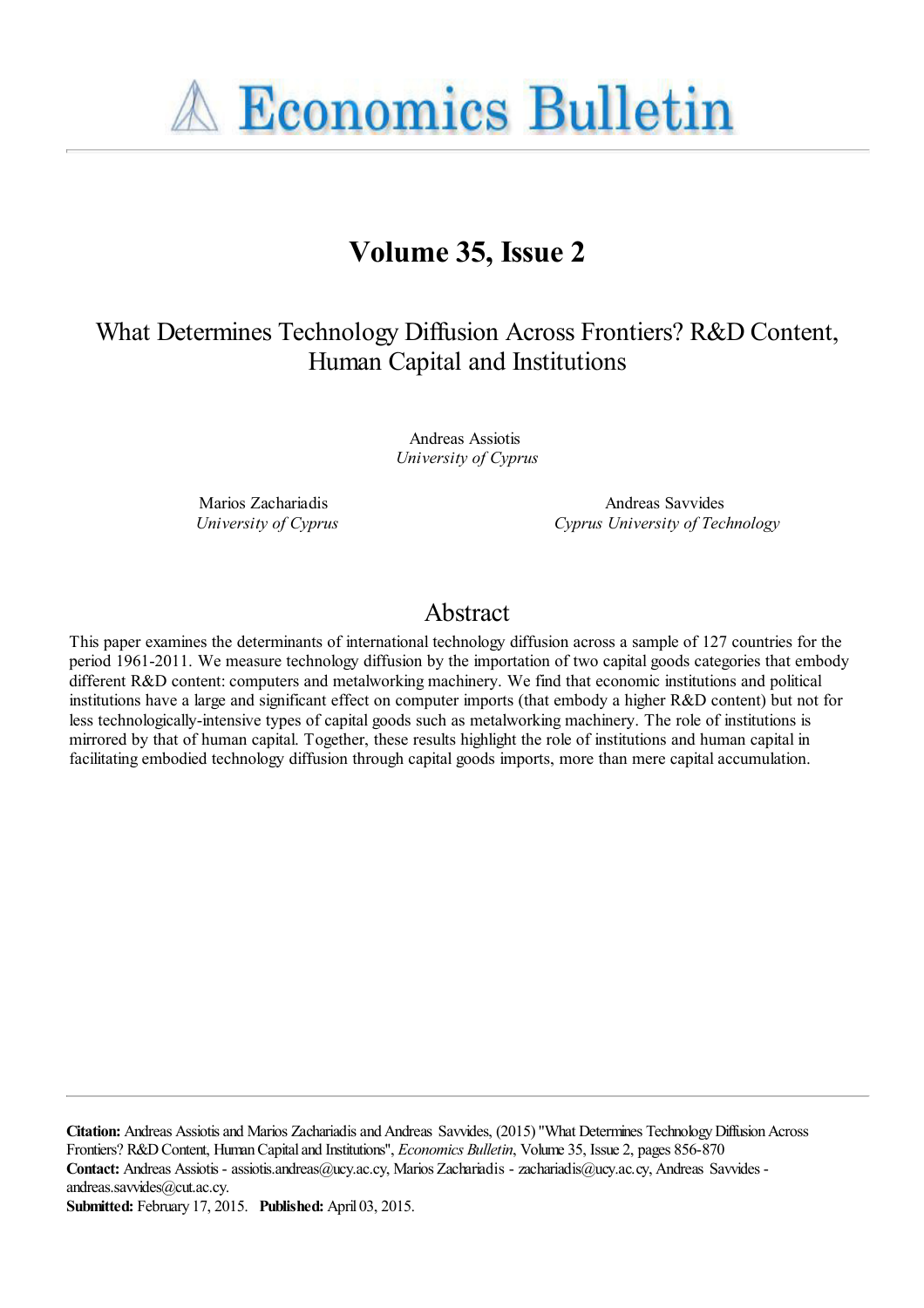

# **Volume 35, Issue 2**

## What Determines Technology Diffusion Across Frontiers? R&D Content, Human Capital and Institutions

Andreas Assiotis *University of Cyprus*

Marios Zachariadis *University of Cyprus*

Andreas Savvides *Cyprus University of Technology*

## Abstract

This paper examines the determinants of international technology diffusion across a sample of 127 countries for the period 1961-2011. We measure technology diffusion by the importation of two capital goods categories that embody different R&D content: computers and metalworking machinery. We find that economic institutions and political institutions have a large and significant effect on computer imports (that embody a higher R&D content) but not for less technologically-intensive types of capital goods such as metalworking machinery. The role of institutions is mirrored by that of human capital. Together, these results highlight the role of institutions and human capital in facilitating embodied technology diffusion through capital goods imports, more than mere capital accumulation.

**Citation:** Andreas Assiotis and Marios Zachariadis and Andreas Savvides, (2015) ''What Determines Technology Diffusion Across Frontiers? R&D Content, Human Capital and Institutions'', *Economics Bulletin*, Volume 35, Issue 2, pages 856-870 **Contact:** Andreas Assiotis - assiotis.andreas@ucy.ac.cy, Marios Zachariadis - zachariadis@ucy.ac.cy, Andreas Savvides andreas.savvides@cut.ac.cy. **Submitted:** February 17, 2015. **Published:** April 03, 2015.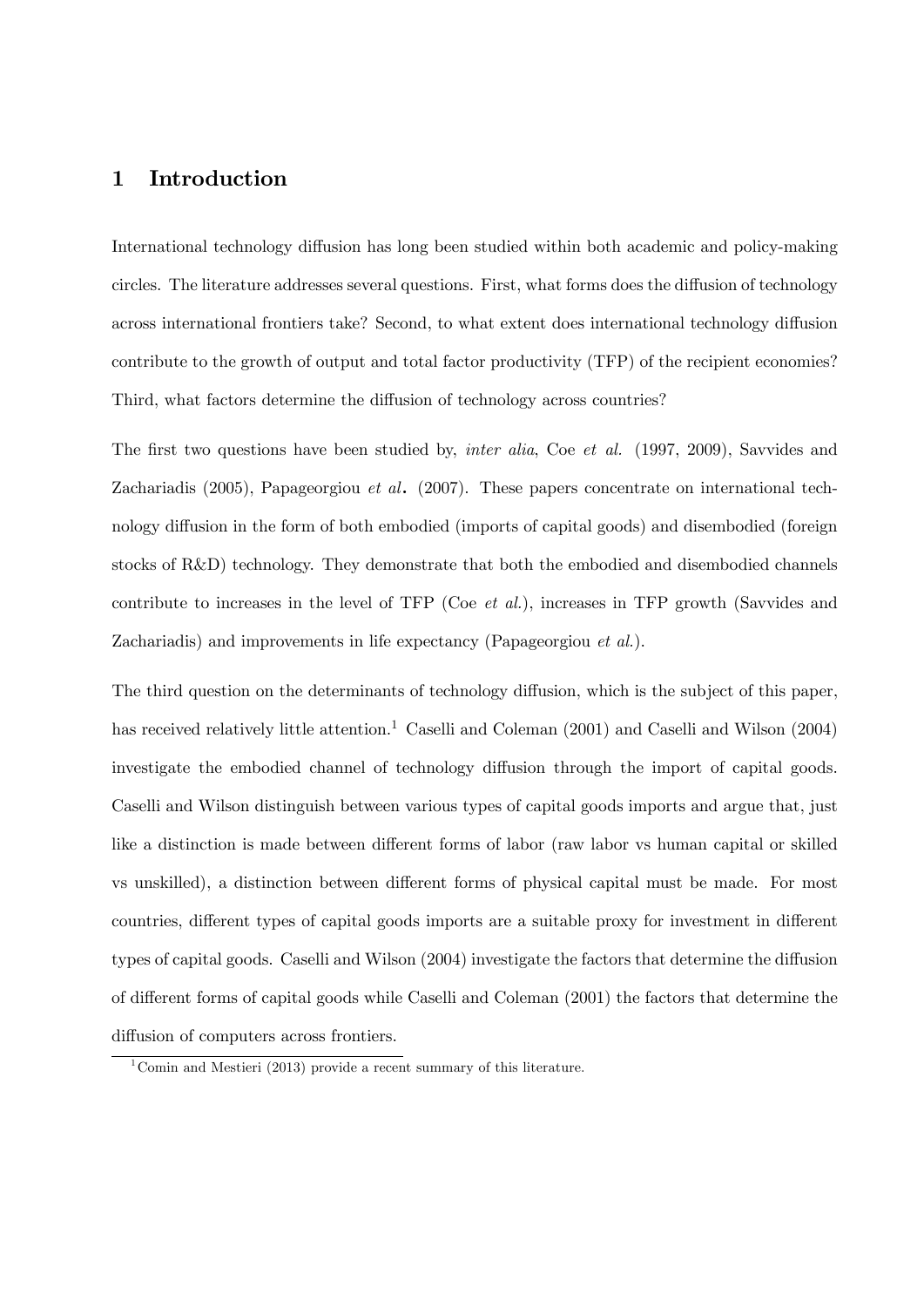## 1 Introduction

International technology diffusion has long been studied within both academic and policy-making circles. The literature addresses several questions. First, what forms does the diffusion of technology across international frontiers take? Second, to what extent does international technology diffusion contribute to the growth of output and total factor productivity (TFP) of the recipient economies? Third, what factors determine the diffusion of technology across countries?

The first two questions have been studied by, *inter alia*, Coe *et al.* (1997, 2009), Savvides and Zachariadis (2005), Papageorgiou *et al.* (2007). These papers concentrate on international technology diffusion in the form of both embodied (imports of capital goods) and disembodied (foreign stocks of R&D) technology. They demonstrate that both the embodied and disembodied channels contribute to increases in the level of TFP (Coe et al.), increases in TFP growth (Savvides and Zachariadis) and improvements in life expectancy (Papageorgiou et al.).

The third question on the determinants of technology diffusion, which is the subject of this paper, has received relatively little attention.<sup>1</sup> Caselli and Coleman (2001) and Caselli and Wilson (2004) investigate the embodied channel of technology diffusion through the import of capital goods. Caselli and Wilson distinguish between various types of capital goods imports and argue that, just like a distinction is made between different forms of labor (raw labor vs human capital or skilled vs unskilled), a distinction between different forms of physical capital must be made. For most countries, different types of capital goods imports are a suitable proxy for investment in different types of capital goods. Caselli and Wilson (2004) investigate the factors that determine the diffusion of different forms of capital goods while Caselli and Coleman (2001) the factors that determine the diffusion of computers across frontiers.

<sup>&</sup>lt;sup>1</sup>Comin and Mestieri (2013) provide a recent summary of this literature.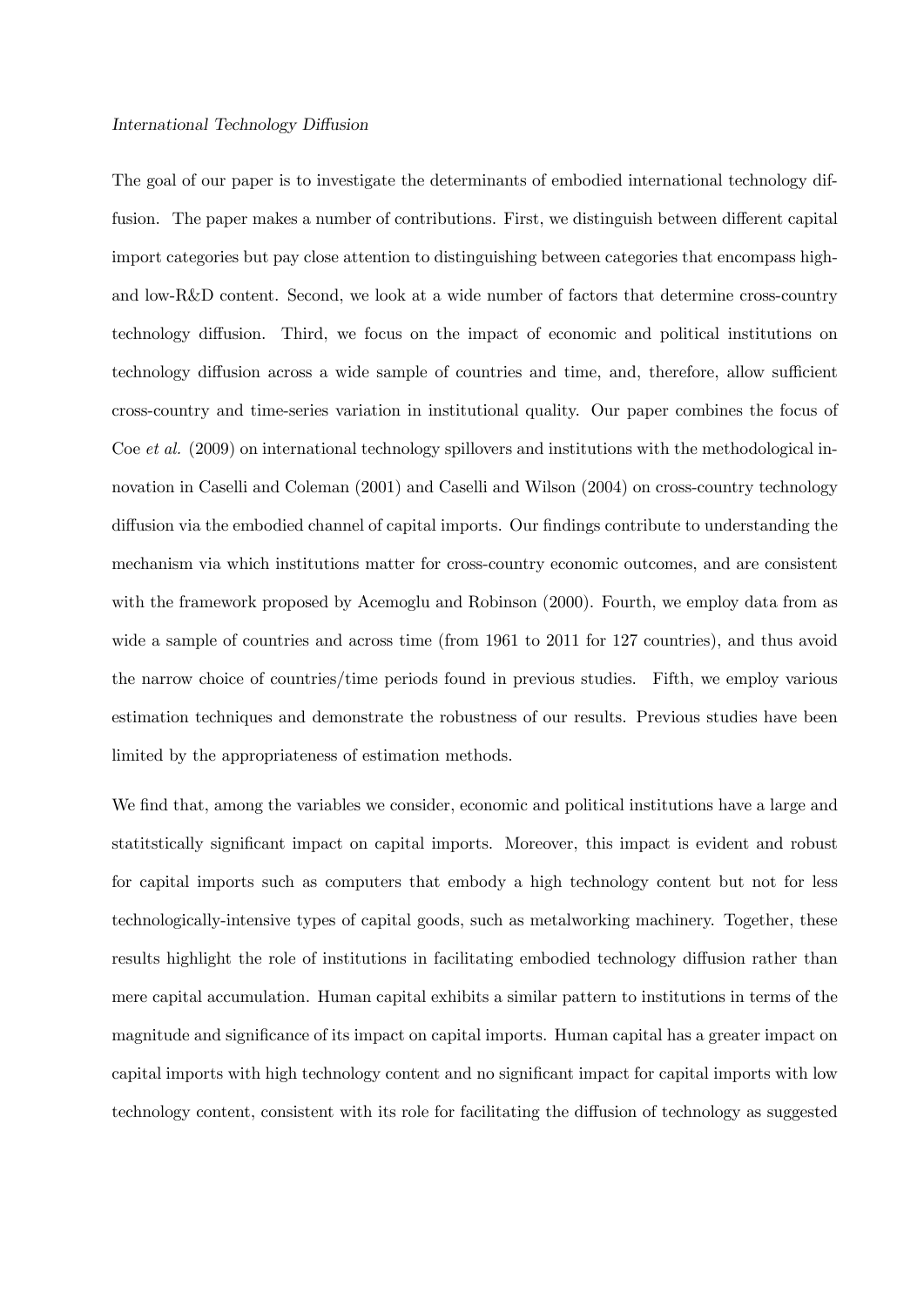The goal of our paper is to investigate the determinants of embodied international technology diffusion. The paper makes a number of contributions. First, we distinguish between different capital import categories but pay close attention to distinguishing between categories that encompass highand low-R&D content. Second, we look at a wide number of factors that determine cross-country technology diffusion. Third, we focus on the impact of economic and political institutions on technology diffusion across a wide sample of countries and time, and, therefore, allow sufficient cross-country and time-series variation in institutional quality. Our paper combines the focus of Coe et al. (2009) on international technology spillovers and institutions with the methodological innovation in Caselli and Coleman (2001) and Caselli and Wilson (2004) on cross-country technology diffusion via the embodied channel of capital imports. Our findings contribute to understanding the mechanism via which institutions matter for cross-country economic outcomes, and are consistent with the framework proposed by Acemoglu and Robinson (2000). Fourth, we employ data from as wide a sample of countries and across time (from 1961 to 2011 for 127 countries), and thus avoid the narrow choice of countries/time periods found in previous studies. Fifth, we employ various estimation techniques and demonstrate the robustness of our results. Previous studies have been limited by the appropriateness of estimation methods.

We find that, among the variables we consider, economic and political institutions have a large and statitstically significant impact on capital imports. Moreover, this impact is evident and robust for capital imports such as computers that embody a high technology content but not for less technologically-intensive types of capital goods, such as metalworking machinery. Together, these results highlight the role of institutions in facilitating embodied technology diffusion rather than mere capital accumulation. Human capital exhibits a similar pattern to institutions in terms of the magnitude and significance of its impact on capital imports. Human capital has a greater impact on capital imports with high technology content and no significant impact for capital imports with low technology content, consistent with its role for facilitating the diffusion of technology as suggested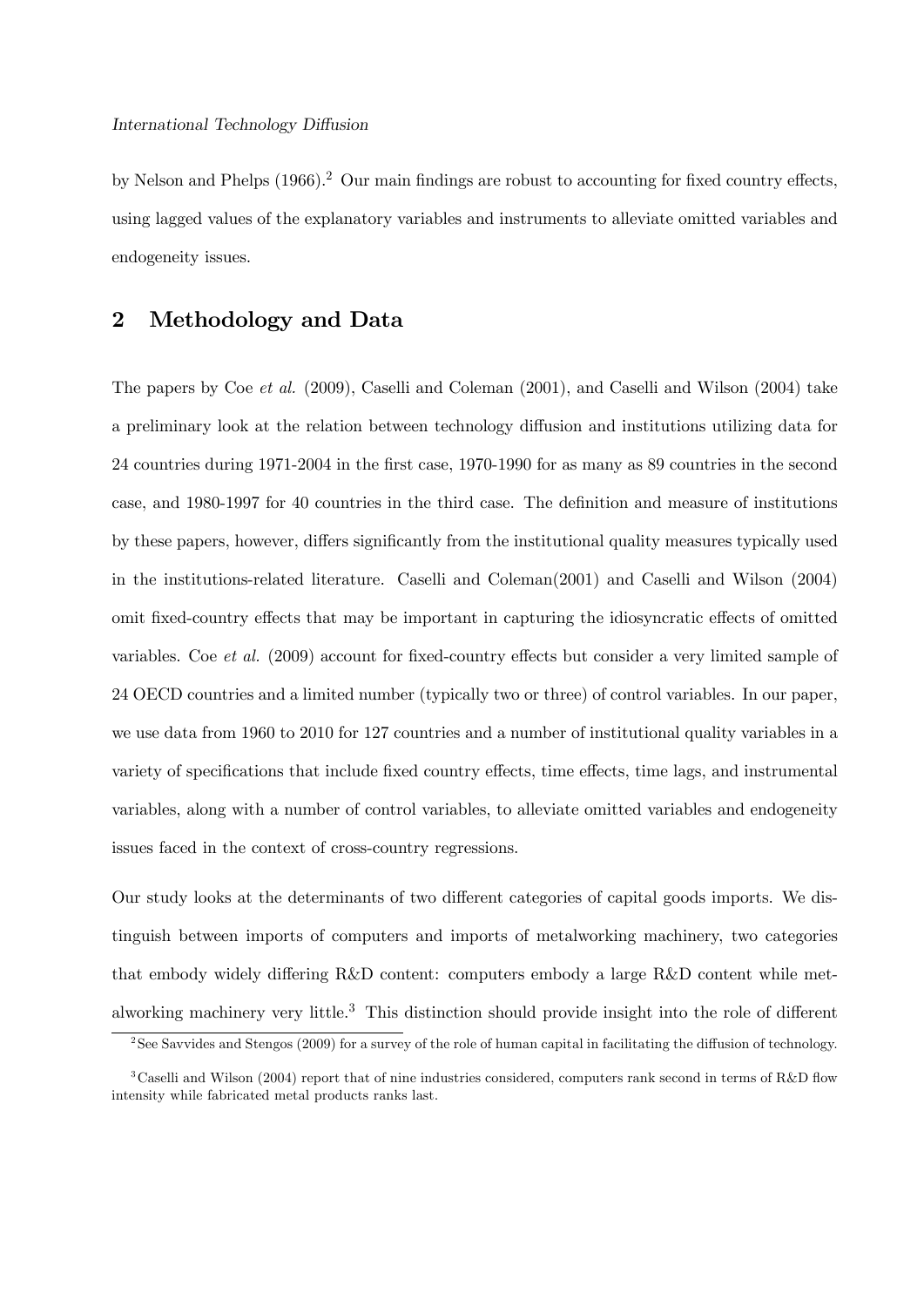by Nelson and Phelps (1966).<sup>2</sup> Our main findings are robust to accounting for fixed country effects, using lagged values of the explanatory variables and instruments to alleviate omitted variables and endogeneity issues.

### 2 Methodology and Data

The papers by Coe et al. (2009), Caselli and Coleman (2001), and Caselli and Wilson (2004) take a preliminary look at the relation between technology diffusion and institutions utilizing data for 24 countries during 1971-2004 in the first case, 1970-1990 for as many as 89 countries in the second case, and 1980-1997 for 40 countries in the third case. The definition and measure of institutions by these papers, however, differs significantly from the institutional quality measures typically used in the institutions-related literature. Caselli and Coleman(2001) and Caselli and Wilson (2004) omit fixed-country effects that may be important in capturing the idiosyncratic effects of omitted variables. Coe et al. (2009) account for fixed-country effects but consider a very limited sample of 24 OECD countries and a limited number (typically two or three) of control variables. In our paper, we use data from 1960 to 2010 for 127 countries and a number of institutional quality variables in a variety of specifications that include fixed country effects, time effects, time lags, and instrumental variables, along with a number of control variables, to alleviate omitted variables and endogeneity issues faced in the context of cross-country regressions.

Our study looks at the determinants of two different categories of capital goods imports. We distinguish between imports of computers and imports of metalworking machinery, two categories that embody widely differing R&D content: computers embody a large R&D content while metalworking machinery very little.<sup>3</sup> This distinction should provide insight into the role of different

 $2$ See Savvides and Stengos (2009) for a survey of the role of human capital in facilitating the diffusion of technology.

 $3$ Caselli and Wilson (2004) report that of nine industries considered, computers rank second in terms of R&D flow intensity while fabricated metal products ranks last.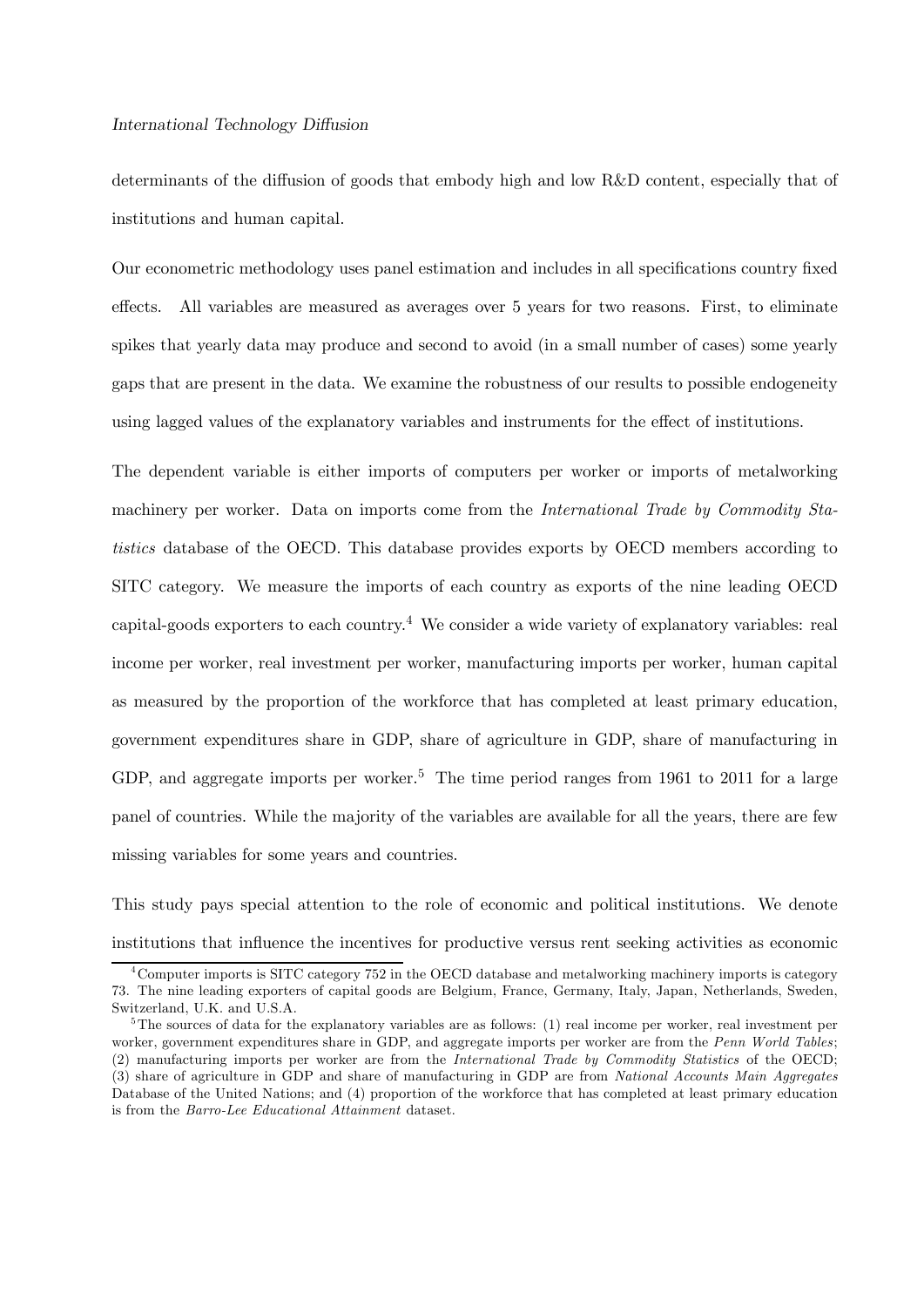determinants of the diffusion of goods that embody high and low R&D content, especially that of institutions and human capital.

Our econometric methodology uses panel estimation and includes in all specifications country fixed effects. All variables are measured as averages over 5 years for two reasons. First, to eliminate spikes that yearly data may produce and second to avoid (in a small number of cases) some yearly gaps that are present in the data. We examine the robustness of our results to possible endogeneity using lagged values of the explanatory variables and instruments for the effect of institutions.

The dependent variable is either imports of computers per worker or imports of metalworking machinery per worker. Data on imports come from the International Trade by Commodity Statistics database of the OECD. This database provides exports by OECD members according to SITC category. We measure the imports of each country as exports of the nine leading OECD capital-goods exporters to each country.<sup>4</sup> We consider a wide variety of explanatory variables: real income per worker, real investment per worker, manufacturing imports per worker, human capital as measured by the proportion of the workforce that has completed at least primary education, government expenditures share in GDP, share of agriculture in GDP, share of manufacturing in GDP, and aggregate imports per worker.<sup>5</sup> The time period ranges from 1961 to 2011 for a large panel of countries. While the majority of the variables are available for all the years, there are few missing variables for some years and countries.

This study pays special attention to the role of economic and political institutions. We denote institutions that influence the incentives for productive versus rent seeking activities as economic

 $^{4}$ Computer imports is SITC category 752 in the OECD database and metalworking machinery imports is category 73. The nine leading exporters of capital goods are Belgium, France, Germany, Italy, Japan, Netherlands, Sweden, Switzerland, U.K. and U.S.A.

 $5$ The sources of data for the explanatory variables are as follows: (1) real income per worker, real investment per worker, government expenditures share in GDP, and aggregate imports per worker are from the Penn World Tables; (2) manufacturing imports per worker are from the International Trade by Commodity Statistics of the OECD; (3) share of agriculture in GDP and share of manufacturing in GDP are from National Accounts Main Aggregates Database of the United Nations; and (4) proportion of the workforce that has completed at least primary education is from the Barro-Lee Educational Attainment dataset.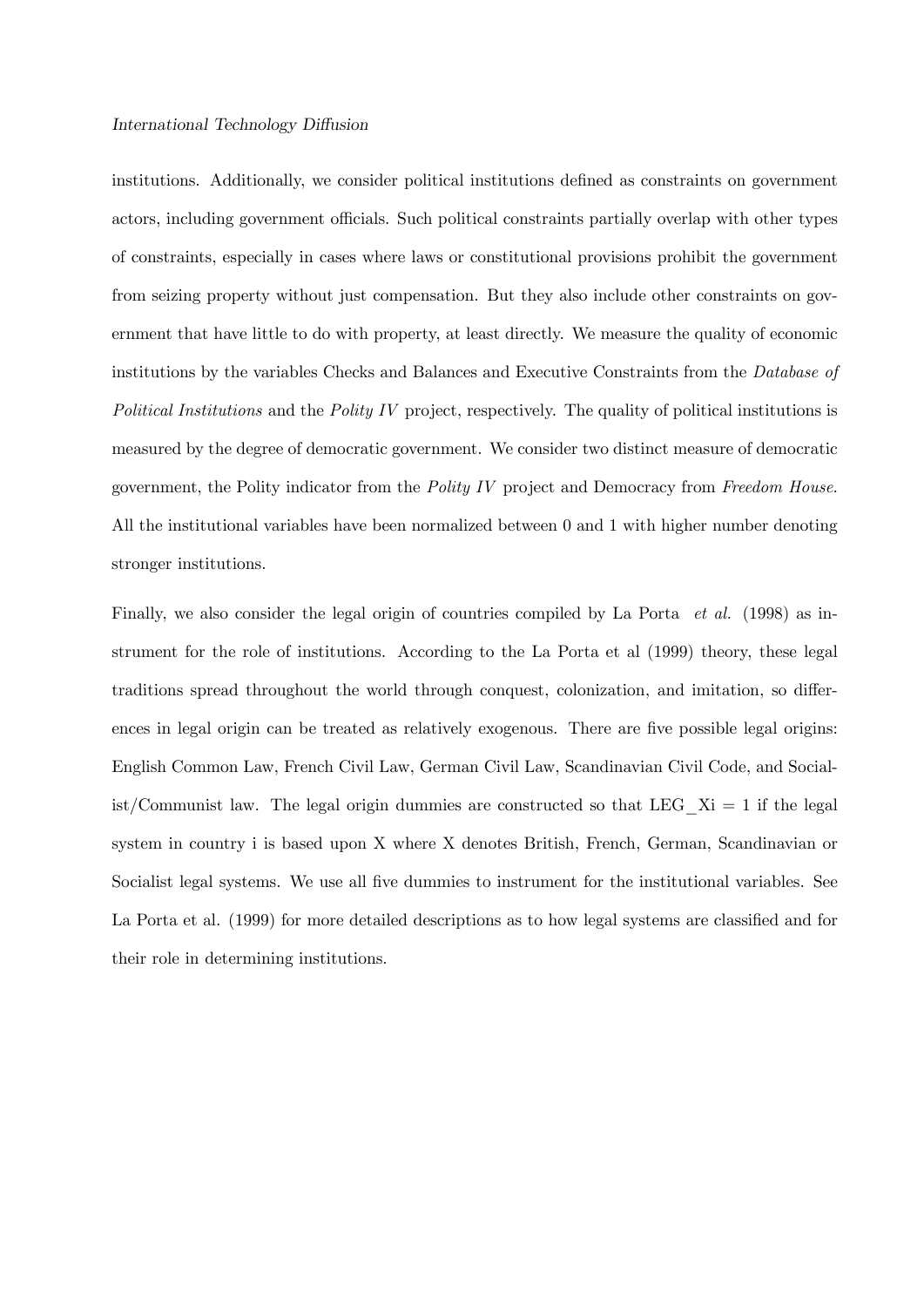institutions. Additionally, we consider political institutions defined as constraints on government actors, including government officials. Such political constraints partially overlap with other types of constraints, especially in cases where laws or constitutional provisions prohibit the government from seizing property without just compensation. But they also include other constraints on government that have little to do with property, at least directly. We measure the quality of economic institutions by the variables Checks and Balances and Executive Constraints from the Database of Political Institutions and the Polity IV project, respectively. The quality of political institutions is measured by the degree of democratic government. We consider two distinct measure of democratic government, the Polity indicator from the Polity IV project and Democracy from Freedom House. All the institutional variables have been normalized between 0 and 1 with higher number denoting stronger institutions.

Finally, we also consider the legal origin of countries compiled by La Porta *et al.* (1998) as instrument for the role of institutions. According to the La Porta et al (1999) theory, these legal traditions spread throughout the world through conquest, colonization, and imitation, so differences in legal origin can be treated as relatively exogenous. There are five possible legal origins: English Common Law, French Civil Law, German Civil Law, Scandinavian Civil Code, and Socialist/Communist law. The legal origin dummies are constructed so that LEG\_Xi = 1 if the legal system in country i is based upon X where X denotes British, French, German, Scandinavian or Socialist legal systems. We use all five dummies to instrument for the institutional variables. See La Porta et al. (1999) for more detailed descriptions as to how legal systems are classified and for their role in determining institutions.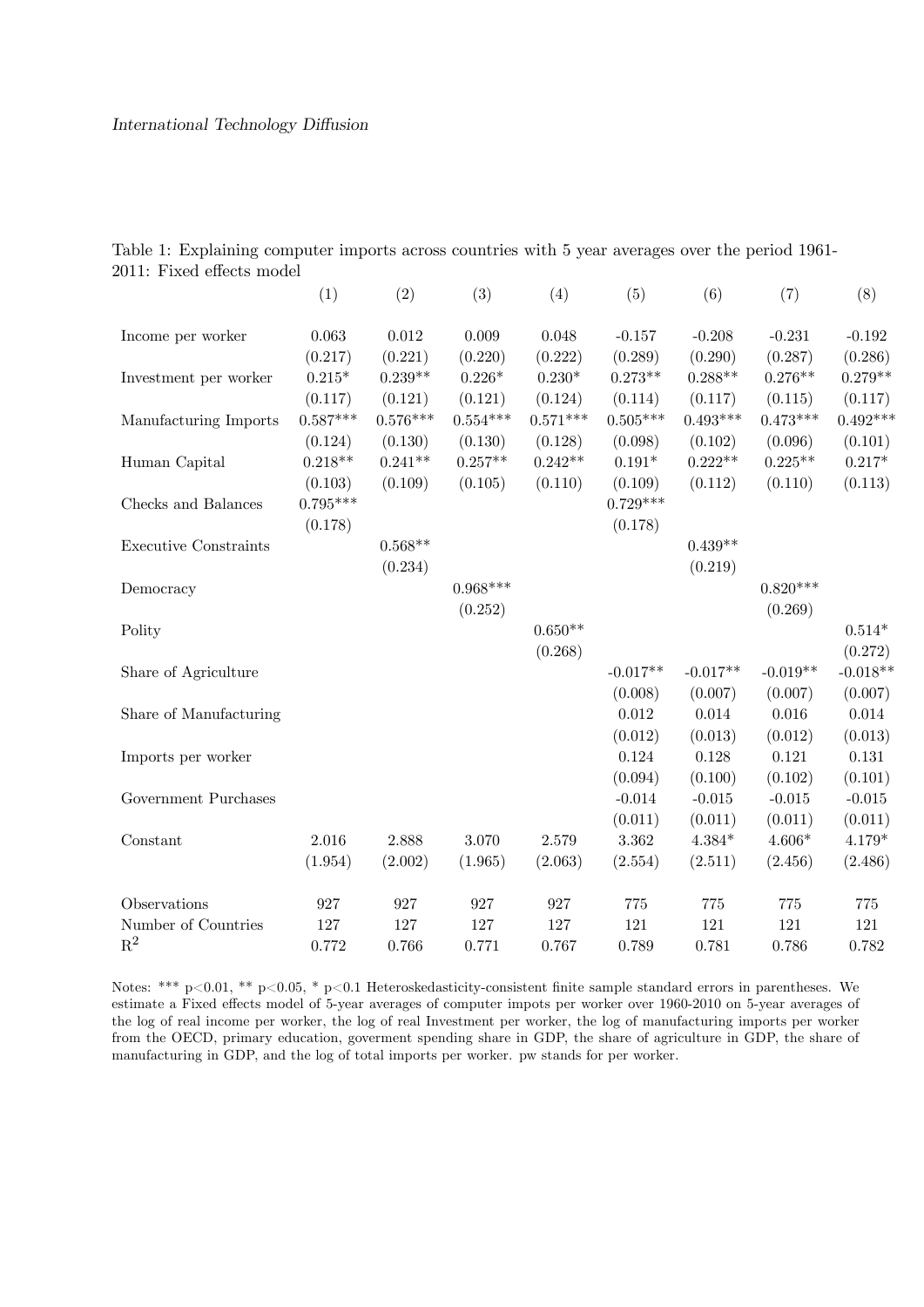|                        | (1)        | (2)        | (3)        | (4)        | (5)        | (6)        | (7)            | (8)        |
|------------------------|------------|------------|------------|------------|------------|------------|----------------|------------|
| Income per worker      | 0.063      | 0.012      | 0.009      | 0.048      | $-0.157$   | $-0.208$   | $-0.231$       | $-0.192$   |
|                        | (0.217)    | (0.221)    | (0.220)    | (0.222)    | (0.289)    | (0.290)    | (0.287)        | (0.286)    |
| Investment per worker  | $0.215*$   | $0.239**$  | $0.226*$   | $0.230*$   | $0.273**$  | $0.288**$  | $0.276**$      | $0.279**$  |
|                        | (0.117)    | (0.121)    | (0.121)    | (0.124)    | (0.114)    | (0.117)    | (0.115)        | (0.117)    |
| Manufacturing Imports  | $0.587***$ | $0.576***$ | $0.554***$ | $0.571***$ | $0.505***$ | $0.493***$ | $0.473***$     | $0.492***$ |
|                        | (0.124)    | (0.130)    | (0.130)    | (0.128)    | (0.098)    | (0.102)    | (0.096)        | (0.101)    |
| Human Capital          | $0.218**$  | $0.241**$  | $0.257**$  | $0.242**$  | $0.191*$   | $0.222**$  | $0.225**$      | $0.217*$   |
|                        | (0.103)    | (0.109)    | (0.105)    | (0.110)    | (0.109)    | (0.112)    | (0.110)        | (0.113)    |
| Checks and Balances    | $0.795***$ |            |            |            | $0.729***$ |            |                |            |
|                        | (0.178)    |            |            |            | (0.178)    |            |                |            |
| Executive Constraints  |            | $0.568**$  |            |            |            | $0.439**$  |                |            |
|                        |            | (0.234)    |            |            |            | (0.219)    |                |            |
| Democracy              |            |            | $0.968***$ |            |            |            | $0.820***$     |            |
|                        |            |            | (0.252)    |            |            |            | (0.269)        |            |
| Polity                 |            |            |            | $0.650**$  |            |            |                | $0.514*$   |
|                        |            |            |            | (0.268)    |            |            |                | (0.272)    |
| Share of Agriculture   |            |            |            |            | $-0.017**$ | $-0.017**$ | $-0.019**$     | $-0.018**$ |
|                        |            |            |            |            | (0.008)    | (0.007)    | (0.007)        | (0.007)    |
| Share of Manufacturing |            |            |            |            | 0.012      | 0.014      | 0.016          | 0.014      |
|                        |            |            |            |            | (0.012)    | (0.013)    | (0.012)        | (0.013)    |
| Imports per worker     |            |            |            |            | 0.124      | 0.128      | 0.121          | 0.131      |
|                        |            |            |            |            | (0.094)    | (0.100)    | (0.102)        | (0.101)    |
| Government Purchases   |            |            |            |            | $-0.014$   | $-0.015$   | $-0.015$       | $-0.015$   |
|                        |            |            |            |            | (0.011)    | (0.011)    | (0.011)        | (0.011)    |
| Constant               | 2.016      | 2.888      | 3.070      | 2.579      | $3.362\,$  | $4.384*$   | $4.606^{\ast}$ | $4.179*$   |
|                        | (1.954)    | (2.002)    | (1.965)    | (2.063)    | (2.554)    | (2.511)    | (2.456)        | (2.486)    |
| Observations           | 927        | 927        | 927        | 927        | 775        | 775        | 775            | 775        |
| Number of Countries    | 127        | 127        | 127        | 127        | 121        | 121        | 121            | 121        |
| $R^2$                  | 0.772      | 0.766      | 0.771      | 0.767      | 0.789      | 0.781      | 0.786          | 0.782      |

Table 1: Explaining computer imports across countries with 5 year averages over the period 1961- 2011: Fixed effects model

Notes: \*\*\* p<0.01, \*\* p<0.05, \* p<0.1 Heteroskedasticity-consistent finite sample standard errors in parentheses. We estimate a Fixed effects model of 5-year averages of computer impots per worker over 1960-2010 on 5-year averages of the log of real income per worker, the log of real Investment per worker, the log of manufacturing imports per worker from the OECD, primary education, goverment spending share in GDP, the share of agriculture in GDP, the share of manufacturing in GDP, and the log of total imports per worker. pw stands for per worker.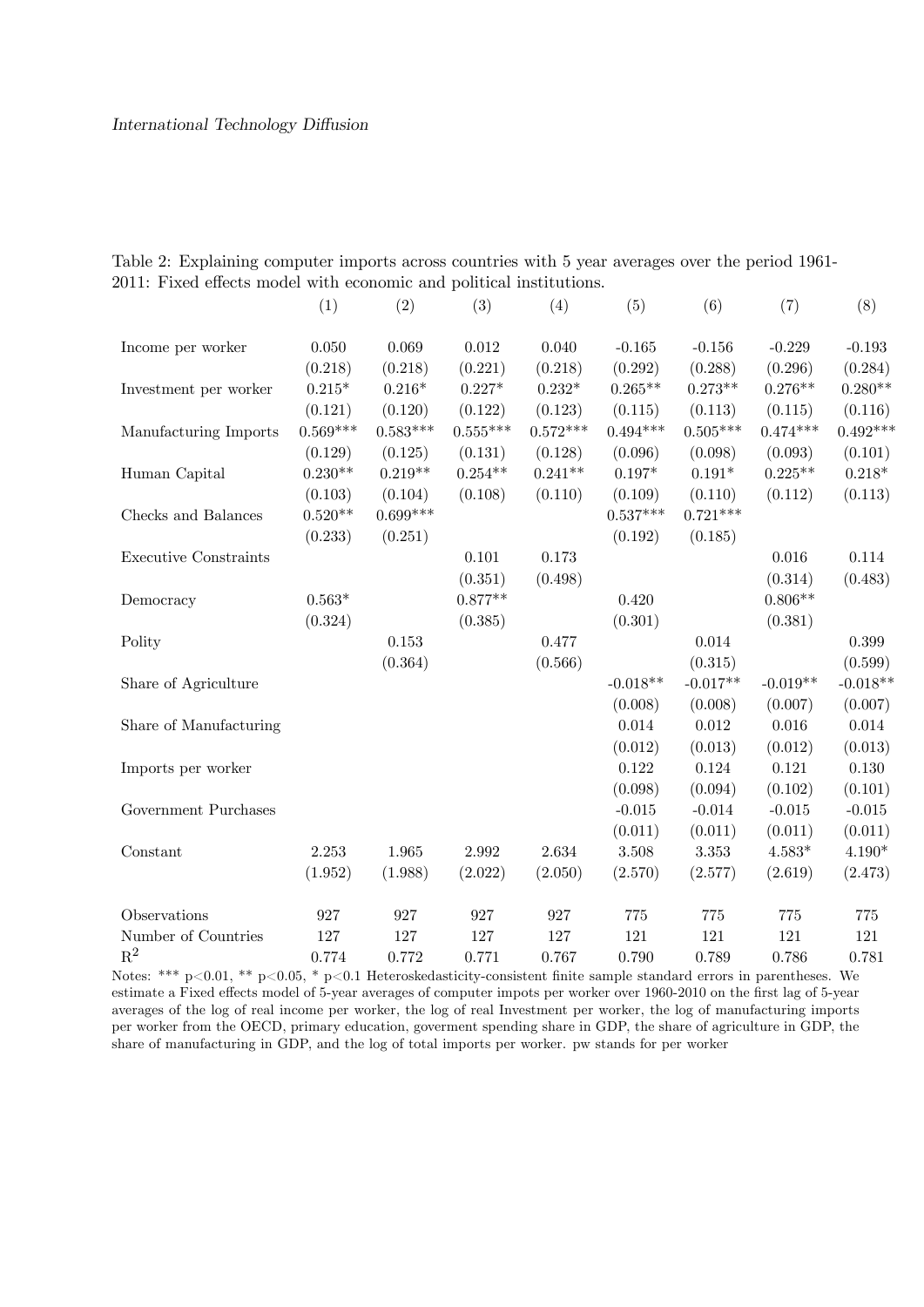|                              | (1)        | (2)        | (3)        | (4)        | (5)        | (6)        | (7)        | (8)        |
|------------------------------|------------|------------|------------|------------|------------|------------|------------|------------|
| Income per worker            | 0.050      | 0.069      | 0.012      | 0.040      | $-0.165$   | $-0.156$   | $-0.229$   | $-0.193$   |
|                              | (0.218)    | (0.218)    | (0.221)    | (0.218)    | (0.292)    | (0.288)    | (0.296)    | (0.284)    |
| Investment per worker        | $0.215*$   | $0.216*$   | $0.227*$   | $0.232*$   | $0.265**$  | $0.273**$  | $0.276**$  | $0.280**$  |
|                              | (0.121)    | (0.120)    | (0.122)    | (0.123)    | (0.115)    | (0.113)    | (0.115)    | (0.116)    |
| Manufacturing Imports        | $0.569***$ | $0.583***$ | $0.555***$ | $0.572***$ | $0.494***$ | $0.505***$ | $0.474***$ | $0.492***$ |
|                              | (0.129)    | (0.125)    | (0.131)    | (0.128)    | (0.096)    | (0.098)    | (0.093)    | (0.101)    |
| Human Capital                | $0.230**$  | $0.219**$  | $0.254**$  | $0.241**$  | $0.197*$   | $0.191*$   | $0.225**$  | $0.218*$   |
|                              | (0.103)    | (0.104)    | (0.108)    | (0.110)    | (0.109)    | (0.110)    | (0.112)    | (0.113)    |
| Checks and Balances          | $0.520**$  | $0.699***$ |            |            | $0.537***$ | $0.721***$ |            |            |
|                              | (0.233)    | (0.251)    |            |            | (0.192)    | (0.185)    |            |            |
| <b>Executive Constraints</b> |            |            | 0.101      | 0.173      |            |            | 0.016      | 0.114      |
|                              |            |            | (0.351)    | (0.498)    |            |            | (0.314)    | (0.483)    |
| Democracy                    | $0.563*$   |            | $0.877**$  |            | 0.420      |            | $0.806**$  |            |
|                              | (0.324)    |            | (0.385)    |            | (0.301)    |            | (0.381)    |            |
| Polity                       |            | 0.153      |            | 0.477      |            | 0.014      |            | $0.399\,$  |
|                              |            | (0.364)    |            | (0.566)    |            | (0.315)    |            | (0.599)    |
| Share of Agriculture         |            |            |            |            | $-0.018**$ | $-0.017**$ | $-0.019**$ | $-0.018**$ |
|                              |            |            |            |            | (0.008)    | (0.008)    | (0.007)    | (0.007)    |
| Share of Manufacturing       |            |            |            |            | 0.014      | 0.012      | 0.016      | $0.014\,$  |
|                              |            |            |            |            | (0.012)    | (0.013)    | (0.012)    | (0.013)    |
| Imports per worker           |            |            |            |            | 0.122      | 0.124      | 0.121      | 0.130      |
|                              |            |            |            |            | (0.098)    | (0.094)    | (0.102)    | (0.101)    |
| Government Purchases         |            |            |            |            | $-0.015$   | $-0.014$   | $-0.015$   | $-0.015$   |
|                              |            |            |            |            | (0.011)    | (0.011)    | (0.011)    | (0.011)    |
| Constant                     | 2.253      | 1.965      | 2.992      | 2.634      | 3.508      | 3.353      | $4.583*$   | $4.190*$   |
|                              | (1.952)    | (1.988)    | (2.022)    | (2.050)    | (2.570)    | (2.577)    | (2.619)    | (2.473)    |
| Observations                 | 927        | 927        | 927        | 927        | 775        | 775        | 775        | 775        |
| Number of Countries          | 127        | 127        | 127        | 127        | 121        | 121        | 121        | 121        |
| $R^2$                        | 0.774      | 0.772      | 0.771      | 0.767      | 0.790      | 0.789      | 0.786      | 0.781      |

Table 2: Explaining computer imports across countries with 5 year averages over the period 1961- 2011: Fixed effects model with economic and political institutions.

Notes: \*\*\*  $p<0.01$ , \*\*  $p<0.05$ , \*  $p<0.1$  Heteroskedasticity-consistent finite sample standard errors in parentheses. We estimate a Fixed effects model of 5-year averages of computer impots per worker over 1960-2010 on the first lag of 5-year averages of the log of real income per worker, the log of real Investment per worker, the log of manufacturing imports per worker from the OECD, primary education, goverment spending share in GDP, the share of agriculture in GDP, the share of manufacturing in GDP, and the log of total imports per worker. pw stands for per worker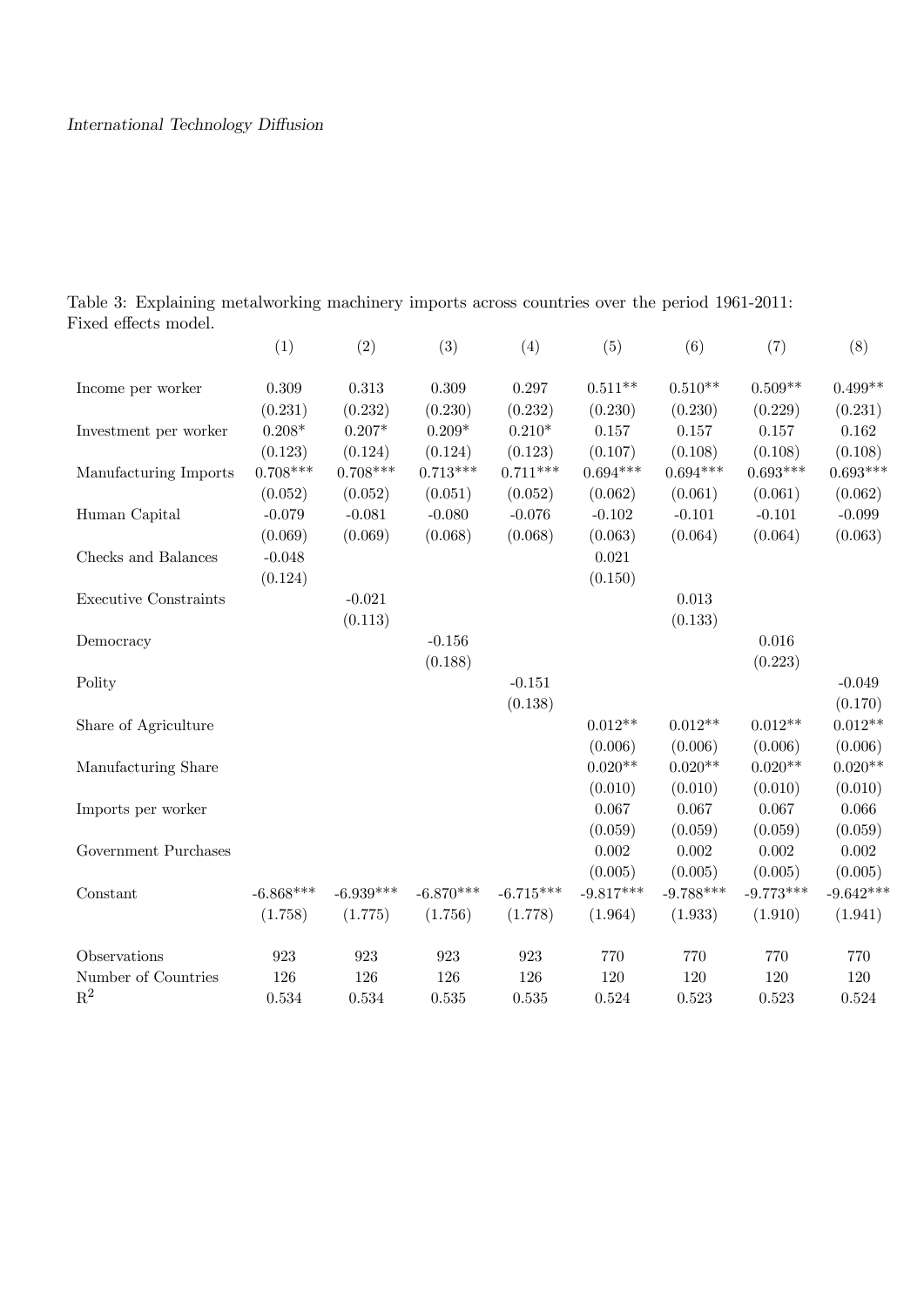|                              | (1)         | (2)         | (3)         | (4)         | (5)         | (6)         | (7)         | (8)         |
|------------------------------|-------------|-------------|-------------|-------------|-------------|-------------|-------------|-------------|
| Income per worker            | 0.309       | $0.313\,$   | 0.309       | 0.297       | $0.511**$   | $0.510**$   | $0.509**$   | $0.499**$   |
|                              | (0.231)     | (0.232)     | (0.230)     | (0.232)     | (0.230)     | (0.230)     | (0.229)     | (0.231)     |
| Investment per worker        | $0.208*$    | $0.207*$    | $0.209*$    | $0.210*$    | 0.157       | 0.157       | 0.157       | $\,0.162\,$ |
|                              | (0.123)     | (0.124)     | (0.124)     | (0.123)     | (0.107)     | (0.108)     | (0.108)     | (0.108)     |
| Manufacturing Imports        | $0.708***$  | $0.708***$  | $0.713***$  | $0.711***$  | $0.694***$  | $0.694***$  | $0.693***$  | $0.693***$  |
|                              | (0.052)     | (0.052)     | (0.051)     | (0.052)     | (0.062)     | (0.061)     | (0.061)     | (0.062)     |
| Human Capital                | $-0.079$    | $-0.081$    | $-0.080$    | $-0.076$    | $-0.102$    | $-0.101$    | $-0.101$    | $-0.099$    |
|                              | (0.069)     | (0.069)     | (0.068)     | (0.068)     | (0.063)     | (0.064)     | (0.064)     | (0.063)     |
| Checks and Balances          | $-0.048$    |             |             |             | 0.021       |             |             |             |
|                              | (0.124)     |             |             |             | (0.150)     |             |             |             |
| <b>Executive Constraints</b> |             | $-0.021$    |             |             |             | 0.013       |             |             |
|                              |             | (0.113)     |             |             |             | (0.133)     |             |             |
| Democracy                    |             |             | $-0.156$    |             |             |             | 0.016       |             |
|                              |             |             | (0.188)     |             |             |             | (0.223)     |             |
| Polity                       |             |             |             | $-0.151$    |             |             |             | $-0.049$    |
|                              |             |             |             | (0.138)     |             |             |             | (0.170)     |
| Share of Agriculture         |             |             |             |             | $0.012**$   | $0.012**$   | $0.012**$   | $0.012**$   |
|                              |             |             |             |             | (0.006)     | (0.006)     | (0.006)     | (0.006)     |
| Manufacturing Share          |             |             |             |             | $0.020**$   | $0.020**$   | $0.020**$   | $0.020**$   |
|                              |             |             |             |             | (0.010)     | (0.010)     | (0.010)     | (0.010)     |
| Imports per worker           |             |             |             |             | 0.067       | 0.067       | 0.067       | 0.066       |
|                              |             |             |             |             | (0.059)     | (0.059)     | (0.059)     | (0.059)     |
| Government Purchases         |             |             |             |             | 0.002       | 0.002       | $0.002\,$   | $0.002\,$   |
|                              |             |             |             |             | (0.005)     | (0.005)     | (0.005)     | (0.005)     |
| Constant                     | $-6.868***$ | $-6.939***$ | $-6.870***$ | $-6.715***$ | $-9.817***$ | $-9.788***$ | $-9.773***$ | $-9.642***$ |
|                              | (1.758)     | (1.775)     | (1.756)     | (1.778)     | (1.964)     | (1.933)     | (1.910)     | (1.941)     |
| Observations                 | 923         | 923         | 923         | 923         | 770         | 770         | 770         | 770         |
| Number of Countries          | 126         | 126         | 126         | 126         | 120         | 120         | 120         | 120         |
| $R^2$                        | 0.534       | 0.534       | 0.535       | 0.535       | 0.524       | 0.523       | 0.523       | 0.524       |

Table 3: Explaining metalworking machinery imports across countries over the period 1961-2011: Fixed effects model.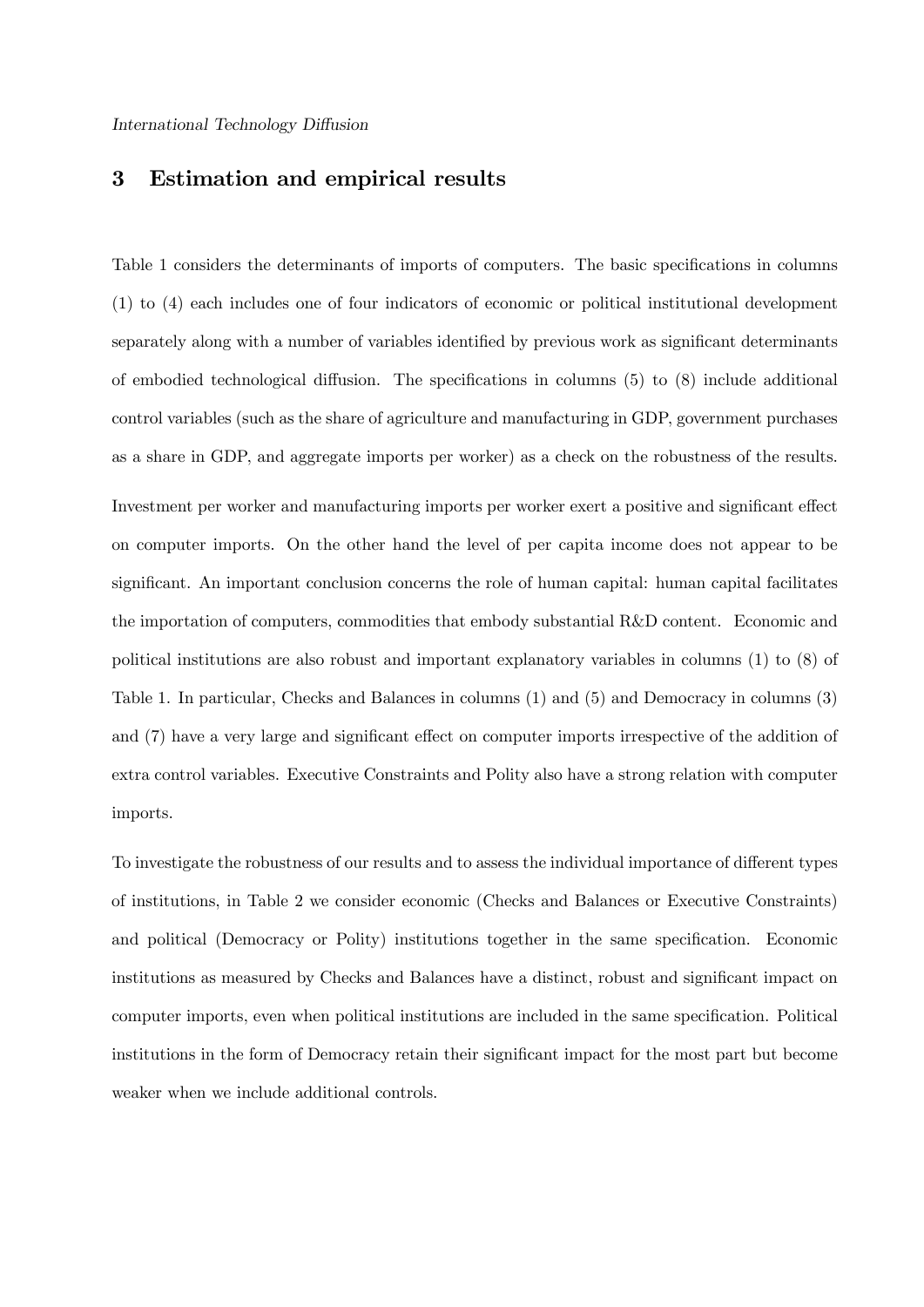### 3 Estimation and empirical results

Table 1 considers the determinants of imports of computers. The basic specifications in columns (1) to (4) each includes one of four indicators of economic or political institutional development separately along with a number of variables identified by previous work as significant determinants of embodied technological diffusion. The specifications in columns (5) to (8) include additional control variables (such as the share of agriculture and manufacturing in GDP, government purchases as a share in GDP, and aggregate imports per worker) as a check on the robustness of the results.

Investment per worker and manufacturing imports per worker exert a positive and significant effect on computer imports. On the other hand the level of per capita income does not appear to be significant. An important conclusion concerns the role of human capital: human capital facilitates the importation of computers, commodities that embody substantial R&D content. Economic and political institutions are also robust and important explanatory variables in columns (1) to (8) of Table 1. In particular, Checks and Balances in columns (1) and (5) and Democracy in columns (3) and (7) have a very large and significant effect on computer imports irrespective of the addition of extra control variables. Executive Constraints and Polity also have a strong relation with computer imports.

To investigate the robustness of our results and to assess the individual importance of different types of institutions, in Table 2 we consider economic (Checks and Balances or Executive Constraints) and political (Democracy or Polity) institutions together in the same specification. Economic institutions as measured by Checks and Balances have a distinct, robust and significant impact on computer imports, even when political institutions are included in the same specification. Political institutions in the form of Democracy retain their significant impact for the most part but become weaker when we include additional controls.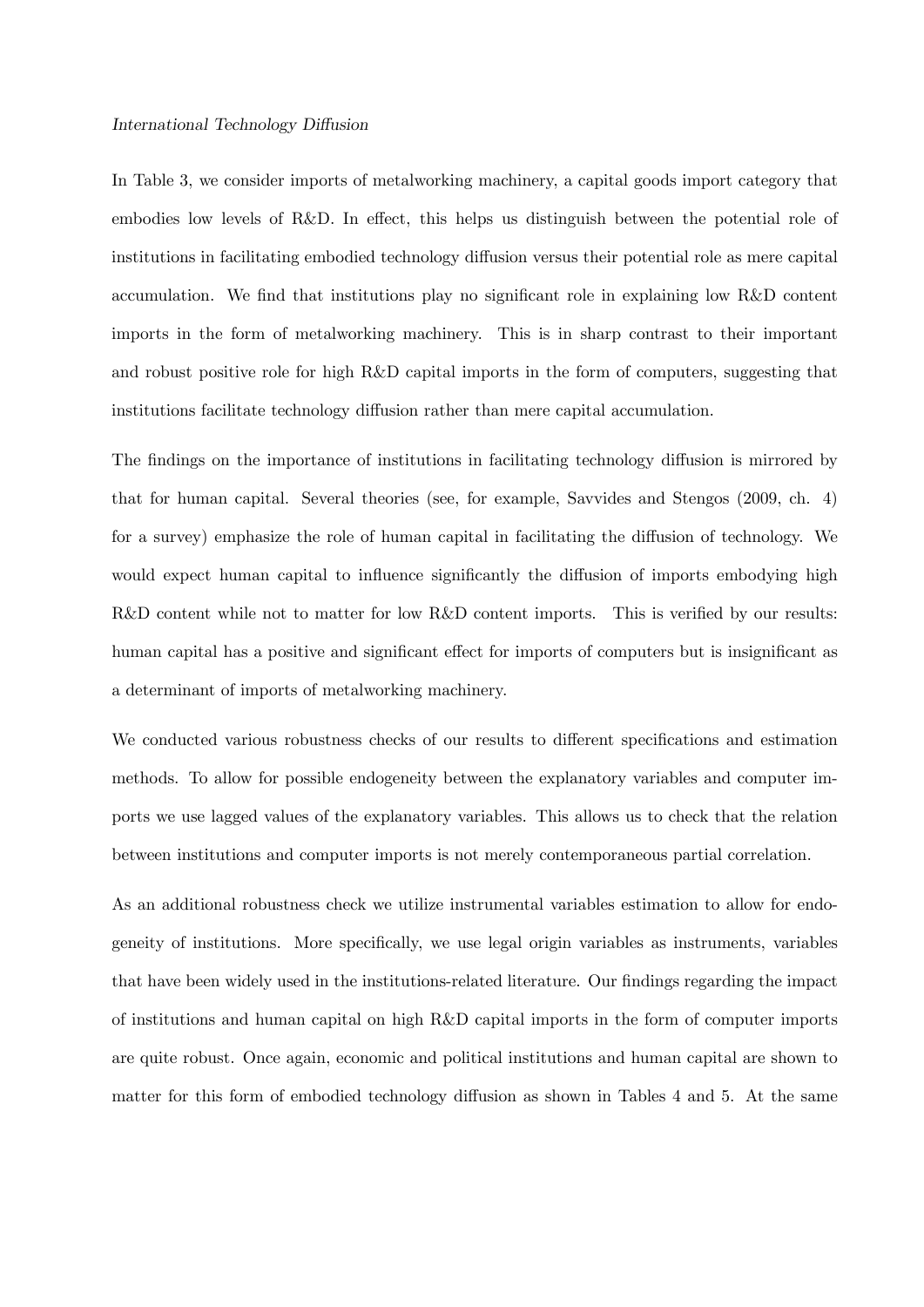In Table 3, we consider imports of metalworking machinery, a capital goods import category that embodies low levels of R&D. In effect, this helps us distinguish between the potential role of institutions in facilitating embodied technology diffusion versus their potential role as mere capital accumulation. We find that institutions play no significant role in explaining low R&D content imports in the form of metalworking machinery. This is in sharp contrast to their important and robust positive role for high R&D capital imports in the form of computers, suggesting that institutions facilitate technology diffusion rather than mere capital accumulation.

The findings on the importance of institutions in facilitating technology diffusion is mirrored by that for human capital. Several theories (see, for example, Savvides and Stengos (2009, ch. 4) for a survey) emphasize the role of human capital in facilitating the diffusion of technology. We would expect human capital to influence significantly the diffusion of imports embodying high R&D content while not to matter for low R&D content imports. This is verified by our results: human capital has a positive and significant effect for imports of computers but is insignificant as a determinant of imports of metalworking machinery.

We conducted various robustness checks of our results to different specifications and estimation methods. To allow for possible endogeneity between the explanatory variables and computer imports we use lagged values of the explanatory variables. This allows us to check that the relation between institutions and computer imports is not merely contemporaneous partial correlation.

As an additional robustness check we utilize instrumental variables estimation to allow for endogeneity of institutions. More specifically, we use legal origin variables as instruments, variables that have been widely used in the institutions-related literature. Our findings regarding the impact of institutions and human capital on high R&D capital imports in the form of computer imports are quite robust. Once again, economic and political institutions and human capital are shown to matter for this form of embodied technology diffusion as shown in Tables 4 and 5. At the same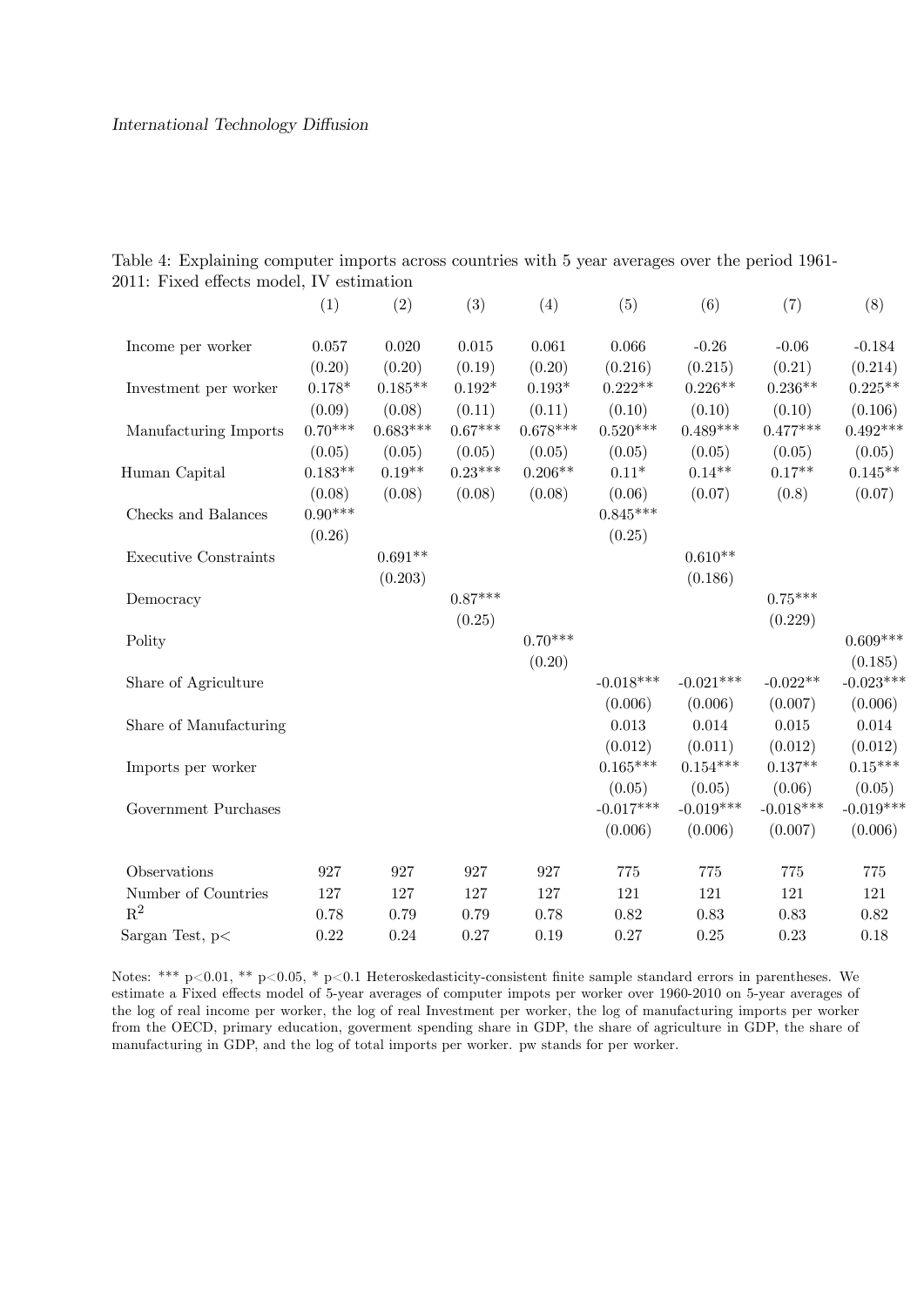| 2011: Fixed effects model, IV estimation |           |            |           |            |             |             |             |             |
|------------------------------------------|-----------|------------|-----------|------------|-------------|-------------|-------------|-------------|
|                                          | (1)       | (2)        | (3)       | (4)        | (5)         | (6)         | (7)         | (8)         |
| Income per worker                        | 0.057     | 0.020      | 0.015     | 0.061      | 0.066       | $-0.26$     | $-0.06$     | $-0.184$    |
|                                          | (0.20)    | (0.20)     | (0.19)    | (0.20)     | (0.216)     | (0.215)     | (0.21)      | (0.214)     |
| Investment per worker                    | $0.178*$  | $0.185**$  | $0.192*$  | $0.193*$   | $0.222**$   | $0.226**$   | $0.236**$   | $0.225**$   |
|                                          | (0.09)    | (0.08)     | (0.11)    | (0.11)     | (0.10)      | (0.10)      | (0.10)      | (0.106)     |
| Manufacturing Imports                    | $0.70***$ | $0.683***$ | $0.67***$ | $0.678***$ | $0.520***$  | $0.489***$  | $0.477***$  | $0.492***$  |
|                                          | (0.05)    | (0.05)     | (0.05)    | (0.05)     | (0.05)      | (0.05)      | (0.05)      | (0.05)      |
| Human Capital                            | $0.183**$ | $0.19**$   | $0.23***$ | $0.206**$  | $0.11*$     | $0.14**$    | $0.17**$    | $0.145**$   |
|                                          | (0.08)    | (0.08)     | (0.08)    | (0.08)     | (0.06)      | (0.07)      | (0.8)       | (0.07)      |
| Checks and Balances                      | $0.90***$ |            |           |            | $0.845***$  |             |             |             |
|                                          | (0.26)    |            |           |            | (0.25)      |             |             |             |
| <b>Executive Constraints</b>             |           | $0.691**$  |           |            |             | $0.610**$   |             |             |
|                                          |           | (0.203)    |           |            |             | (0.186)     |             |             |
| Democracy                                |           |            | $0.87***$ |            |             |             | $0.75***$   |             |
|                                          |           |            | (0.25)    |            |             |             | (0.229)     |             |
| Polity                                   |           |            |           | $0.70***$  |             |             |             | $0.609***$  |
|                                          |           |            |           | (0.20)     |             |             |             | (0.185)     |
| Share of Agriculture                     |           |            |           |            | $-0.018***$ | $-0.021***$ | $-0.022**$  | $-0.023***$ |
|                                          |           |            |           |            | (0.006)     | (0.006)     | (0.007)     | (0.006)     |
| Share of Manufacturing                   |           |            |           |            | 0.013       | 0.014       | $0.015\,$   | $0.014\,$   |
|                                          |           |            |           |            | (0.012)     | (0.011)     | (0.012)     | (0.012)     |
| Imports per worker                       |           |            |           |            | $0.165***$  | $0.154***$  | $0.137**$   | $0.15***$   |
|                                          |           |            |           |            | (0.05)      | (0.05)      | (0.06)      | (0.05)      |
| Government Purchases                     |           |            |           |            | $-0.017***$ | $-0.019***$ | $-0.018***$ | $-0.019***$ |
|                                          |           |            |           |            | (0.006)     | (0.006)     | (0.007)     | (0.006)     |
| Observations                             | 927       | 927        | 927       | 927        | $775\,$     | 775         | 775         | 775         |
| Number of Countries                      | 127       | 127        | 127       | 127        | 121         | 121         | 121         | 121         |
| $R^2$                                    | 0.78      | 0.79       | 0.79      | 0.78       | 0.82        | 0.83        | 0.83        | $0.82\,$    |
| Sargan Test, p<                          | 0.22      | 0.24       | 0.27      | 0.19       | 0.27        | 0.25        | 0.23        | 0.18        |

Table 4: Explaining computer imports across countries with 5 year averages over the period 1961-  $2011:$  Fixed effects model, IV estimation

Notes: \*\*\* p<0.01, \*\* p<0.05, \* p<0.1 Heteroskedasticity-consistent finite sample standard errors in parentheses. We estimate a Fixed effects model of 5-year averages of computer impots per worker over 1960-2010 on 5-year averages of the log of real income per worker, the log of real Investment per worker, the log of manufacturing imports per worker from the OECD, primary education, goverment spending share in GDP, the share of agriculture in GDP, the share of manufacturing in GDP, and the log of total imports per worker. pw stands for per worker.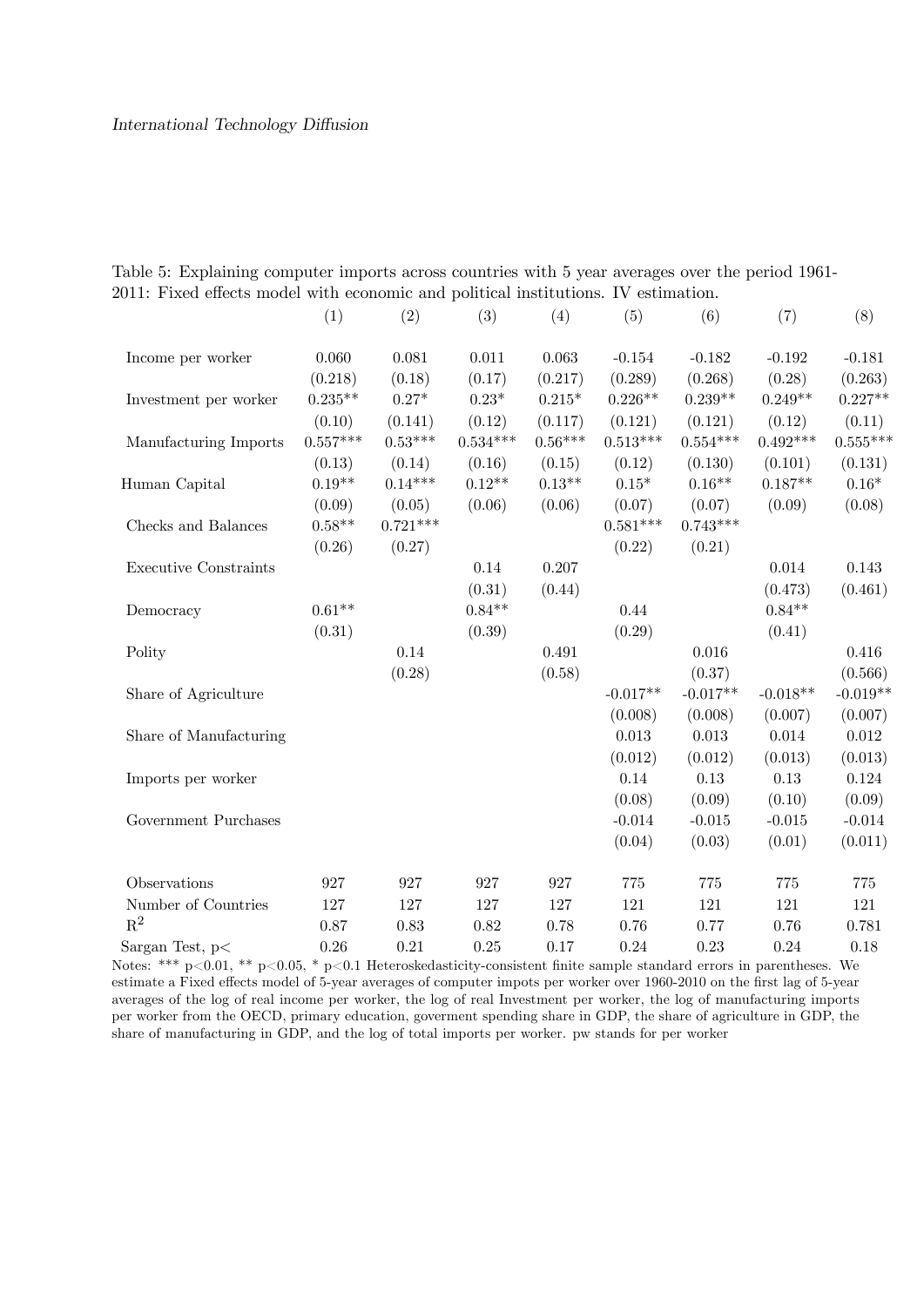|                              | (1)        | (2)        | (3)        | (4)       | (5)           | (6)        | (7)        | (8)           |
|------------------------------|------------|------------|------------|-----------|---------------|------------|------------|---------------|
| Income per worker            | 0.060      | 0.081      | 0.011      | 0.063     | $-0.154$      | $-0.182$   | $-0.192$   | $-0.181$      |
|                              | (0.218)    | (0.18)     | (0.17)     | (0.217)   | (0.289)       | (0.268)    | (0.28)     | (0.263)       |
| Investment per worker        | $0.235**$  | $0.27*$    | $0.23*$    | $0.215*$  | $0.226**$     | $0.239**$  | $0.249**$  | $0.227**$     |
|                              | (0.10)     | (0.141)    | (0.12)     | (0.117)   | (0.121)       | (0.121)    | (0.12)     | (0.11)        |
| Manufacturing Imports        | $0.557***$ | $0.53***$  | $0.534***$ | $0.56***$ | $0.513***$    | $0.554***$ | $0.492***$ | $0.555***$    |
|                              | (0.13)     | (0.14)     | (0.16)     | (0.15)    | (0.12)        | (0.130)    | (0.101)    | (0.131)       |
| Human Capital                | $0.19**$   | $0.14***$  | $0.12**$   | $0.13**$  | $0.15^{\ast}$ | $0.16**$   | $0.187**$  | $0.16^{\ast}$ |
|                              | (0.09)     | (0.05)     | (0.06)     | (0.06)    | (0.07)        | (0.07)     | (0.09)     | (0.08)        |
| Checks and Balances          | $0.58**$   | $0.721***$ |            |           | $0.581***$    | $0.743***$ |            |               |
|                              | (0.26)     | (0.27)     |            |           | (0.22)        | (0.21)     |            |               |
| <b>Executive Constraints</b> |            |            | 0.14       | 0.207     |               |            | $0.014\,$  | 0.143         |
|                              |            |            | (0.31)     | (0.44)    |               |            | (0.473)    | (0.461)       |
| Democracy                    | $0.61**$   |            | $0.84**$   |           | 0.44          |            | $0.84**$   |               |
|                              | (0.31)     |            | (0.39)     |           | (0.29)        |            | (0.41)     |               |
| Polity                       |            | 0.14       |            | 0.491     |               | 0.016      |            | 0.416         |
|                              |            | (0.28)     |            | (0.58)    |               | (0.37)     |            | (0.566)       |
| Share of Agriculture         |            |            |            |           | $-0.017**$    | $-0.017**$ | $-0.018**$ | $-0.019**$    |
|                              |            |            |            |           | (0.008)       | (0.008)    | (0.007)    | (0.007)       |
| Share of Manufacturing       |            |            |            |           | 0.013         | 0.013      | 0.014      | $0.012\,$     |
|                              |            |            |            |           | (0.012)       | (0.012)    | (0.013)    | (0.013)       |
| Imports per worker           |            |            |            |           | 0.14          | 0.13       | 0.13       | 0.124         |
|                              |            |            |            |           | (0.08)        | (0.09)     | (0.10)     | (0.09)        |
| Government Purchases         |            |            |            |           | $-0.014$      | $-0.015$   | $-0.015$   | $-0.014$      |
|                              |            |            |            |           | (0.04)        | (0.03)     | (0.01)     | (0.011)       |
| Observations                 | 927        | $927\,$    | 927        | 927       | 775           | 775        | 775        | 775           |
| Number of Countries          | 127        | 127        | $127\,$    | 127       | 121           | 121        | 121        | 121           |
| $R^2$                        | 0.87       | 0.83       | 0.82       | 0.78      | 0.76          | 0.77       | 0.76       | 0.781         |
| Sargan Test, p<              | 0.26       | 0.21       | 0.25       | 0.17      | 0.24          | 0.23       | 0.24       | 0.18          |

Table 5: Explaining computer imports across countries with 5 year averages over the period 1961- 2011: Fixed effects model with economic and political institutions. IV estimation.

Notes: \*\*\* p<0.01, \*\* p<0.05, \* p<0.1 Heteroskedasticity-consistent finite sample standard errors in parentheses. We estimate a Fixed effects model of 5-year averages of computer impots per worker over 1960-2010 on the first lag of 5-year averages of the log of real income per worker, the log of real Investment per worker, the log of manufacturing imports per worker from the OECD, primary education, goverment spending share in GDP, the share of agriculture in GDP, the share of manufacturing in GDP, and the log of total imports per worker. pw stands for per worker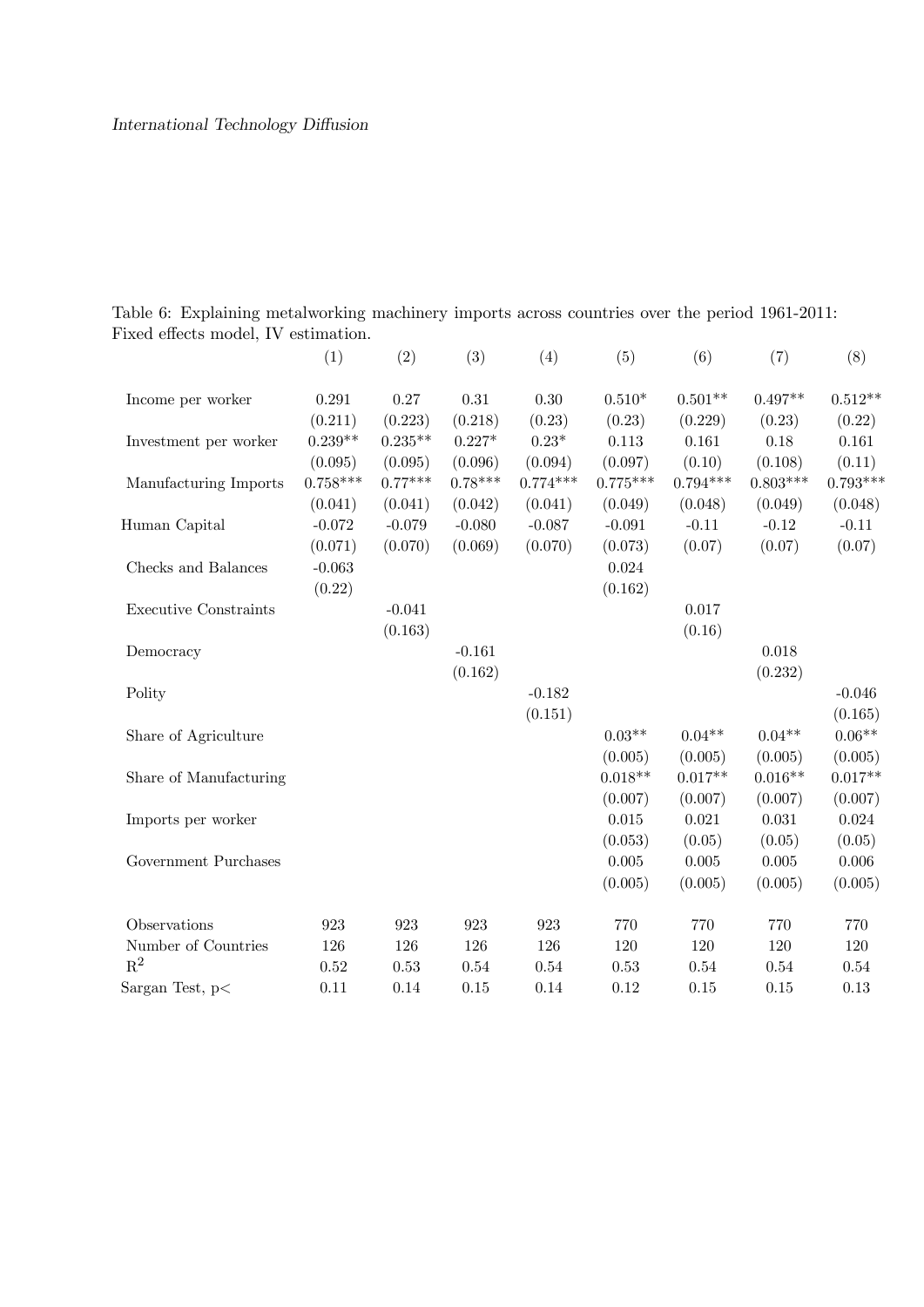| ился спесью пючен, <b>1</b> v |            |           |           |            |            |            |            |             |
|-------------------------------|------------|-----------|-----------|------------|------------|------------|------------|-------------|
|                               | (1)        | (2)       | (3)       | (4)        | (5)        | (6)        | (7)        | (8)         |
| Income per worker             | 0.291      | $0.27\,$  | $0.31\,$  | 0.30       | $0.510*$   | $0.501**$  | $0.497**$  | $0.512**$   |
|                               | (0.211)    | (0.223)   | (0.218)   | (0.23)     | (0.23)     | (0.229)    | (0.23)     | (0.22)      |
| Investment per worker         | $0.239**$  | $0.235**$ | $0.227*$  | $0.23*$    | 0.113      | 0.161      | 0.18       | 0.161       |
|                               | (0.095)    | (0.095)   | (0.096)   | (0.094)    | (0.097)    | (0.10)     | (0.108)    | (0.11)      |
| Manufacturing Imports         | $0.758***$ | $0.77***$ | $0.78***$ | $0.774***$ | $0.775***$ | $0.794***$ | $0.803***$ | $0.793***$  |
|                               | (0.041)    | (0.041)   | (0.042)   | (0.041)    | (0.049)    | (0.048)    | (0.049)    | (0.048)     |
| Human Capital                 | $-0.072$   | $-0.079$  | $-0.080$  | $-0.087$   | $-0.091$   | $-0.11$    | $-0.12$    | $-0.11$     |
|                               | (0.071)    | (0.070)   | (0.069)   | (0.070)    | (0.073)    | (0.07)     | (0.07)     | (0.07)      |
| Checks and Balances           | $-0.063$   |           |           |            | 0.024      |            |            |             |
|                               | (0.22)     |           |           |            | (0.162)    |            |            |             |
| <b>Executive Constraints</b>  |            | $-0.041$  |           |            |            | 0.017      |            |             |
|                               |            | (0.163)   |           |            |            | (0.16)     |            |             |
| Democracy                     |            |           | $-0.161$  |            |            |            | 0.018      |             |
|                               |            |           | (0.162)   |            |            |            | (0.232)    |             |
| Polity                        |            |           |           | $-0.182$   |            |            |            | $-0.046$    |
|                               |            |           |           | (0.151)    |            |            |            | (0.165)     |
| Share of Agriculture          |            |           |           |            | $0.03**$   | $0.04**$   | $0.04**$   | $0.06**$    |
|                               |            |           |           |            | (0.005)    | (0.005)    | (0.005)    | (0.005)     |
| Share of Manufacturing        |            |           |           |            | $0.018**$  | $0.017**$  | $0.016**$  | $0.017**$   |
|                               |            |           |           |            | (0.007)    | (0.007)    | (0.007)    | (0.007)     |
| Imports per worker            |            |           |           |            | 0.015      | 0.021      | 0.031      | $\,0.024\,$ |
|                               |            |           |           |            | (0.053)    | (0.05)     | (0.05)     | (0.05)      |
| Government Purchases          |            |           |           |            | $0.005\,$  | $0.005\,$  | $0.005\,$  | $0.006\,$   |
|                               |            |           |           |            | (0.005)    | (0.005)    | (0.005)    | (0.005)     |
| Observations                  | 923        | 923       | 923       | 923        | 770        | 770        | 770        | 770         |
| Number of Countries           | 126        | 126       | 126       | 126        | 120        | 120        | 120        | 120         |
| $R^2$                         | $0.52\,$   | 0.53      | 0.54      | 0.54       | 0.53       | 0.54       | 0.54       | $0.54\,$    |
| Sargan Test, p<               | 0.11       | 0.14      | 0.15      | 0.14       | 0.12       | 0.15       | 0.15       | 0.13        |

Table 6: Explaining metalworking machinery imports across countries over the period 1961-2011: Fixed effects model, IV estimation.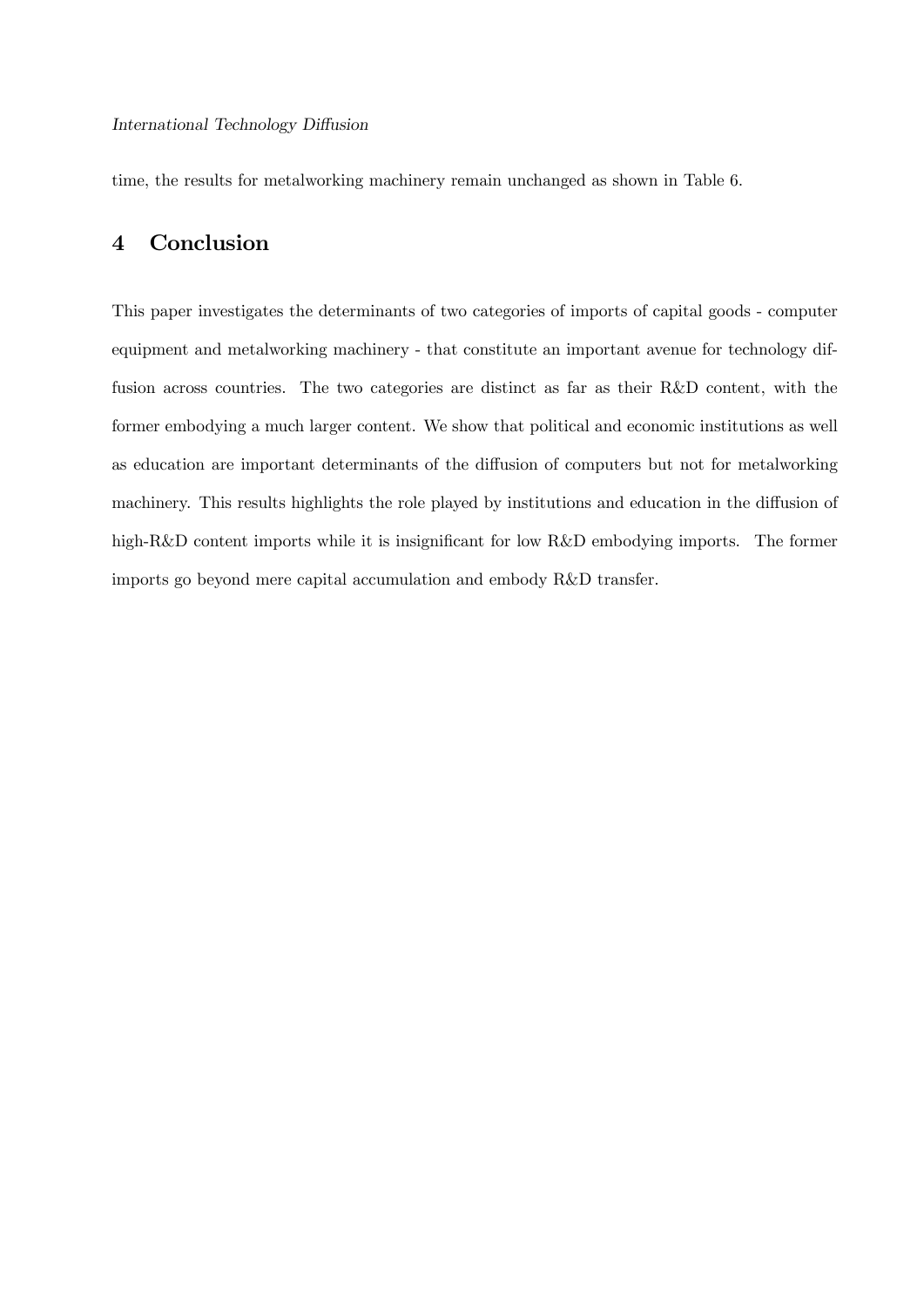time, the results for metalworking machinery remain unchanged as shown in Table 6.

## 4 Conclusion

This paper investigates the determinants of two categories of imports of capital goods - computer equipment and metalworking machinery - that constitute an important avenue for technology diffusion across countries. The two categories are distinct as far as their R&D content, with the former embodying a much larger content. We show that political and economic institutions as well as education are important determinants of the diffusion of computers but not for metalworking machinery. This results highlights the role played by institutions and education in the diffusion of high-R&D content imports while it is insignificant for low R&D embodying imports. The former imports go beyond mere capital accumulation and embody R&D transfer.